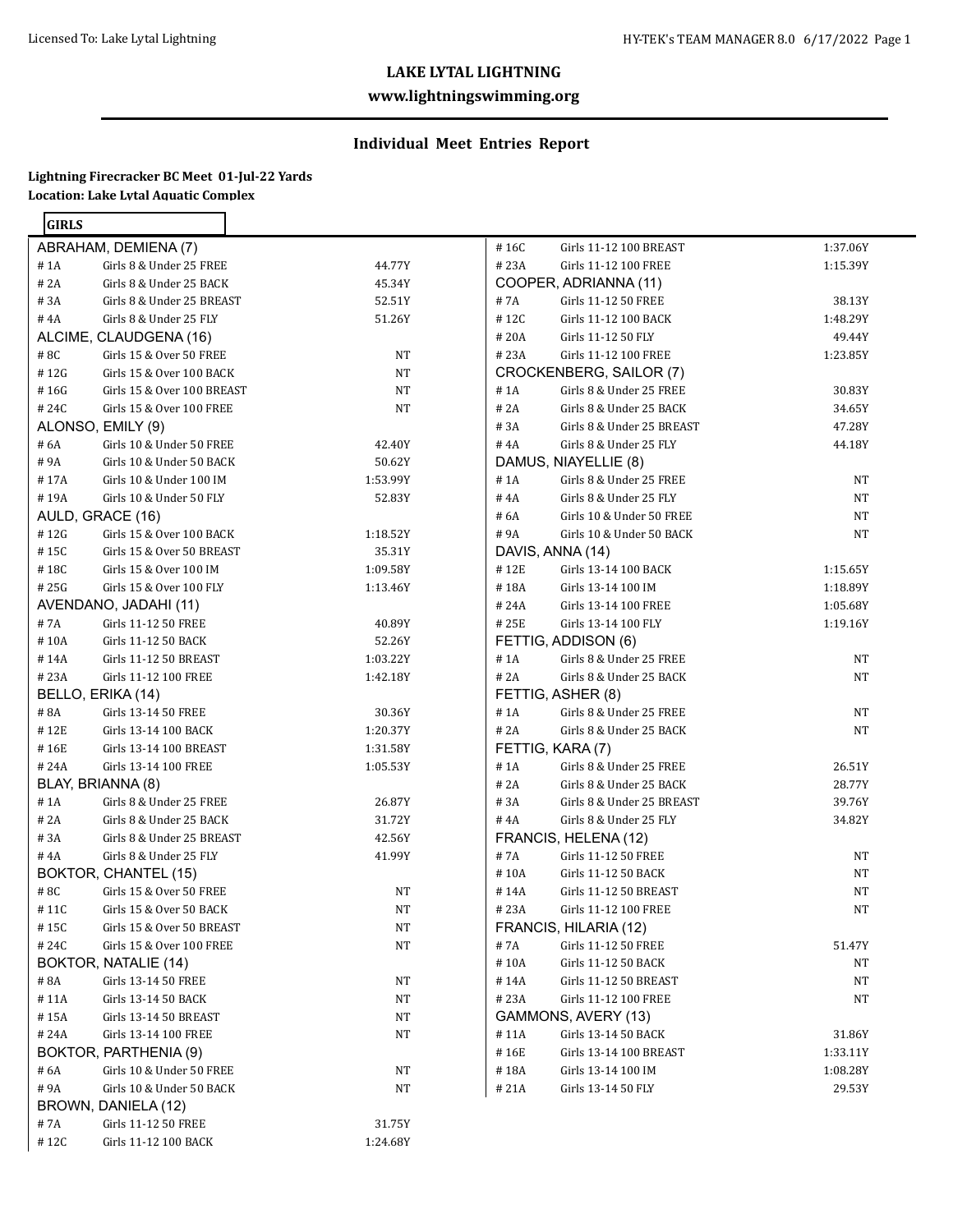## **www.lightningswimming.org**

# **Individual Meet Entries Report**

#### **Lightning Firecracker BC Meet 01-Jul-22 Yards Location: Lake Lytal Aquatic Complex**

| <b>GIRLS</b> |                                 |          |
|--------------|---------------------------------|----------|
|              | ABRAHAM, DEMIENA (7)            |          |
| # 1A         | Girls 8 & Under 25 FREE         | 44.77Y   |
| # 2A         | Girls 8 & Under 25 BACK         | 45.34Y   |
|              | #3A Girls 8 & Under 25 BREAST   | 52.51Y   |
|              | #4A Girls 8 & Under 25 FLY      | 51.26Y   |
|              | ALCIME, CLAUDGENA (16)          |          |
| #8C          | Girls 15 & Over 50 FREE         | NT       |
|              | #12G Girls 15 & Over 100 BACK   | NT       |
|              | #16G Girls 15 & Over 100 BREAST | NT       |
|              | #24C Girls 15 & Over 100 FREE   | NT       |
|              | ALONSO, EMILY (9)               |          |
| # 6A         | Girls 10 & Under 50 FREE        | 42.40Y   |
| # 9A         | Girls 10 & Under 50 BACK        | 50.62Y   |
| # 17A        | Girls 10 & Under 100 IM         | 1:53.99Y |
| # 19A        | Girls 10 & Under 50 FLY         | 52.83Y   |
|              | AULD, GRACE (16)                |          |
|              | #12G Girls 15 & Over 100 BACK   | 1:18.52Y |
|              | #15C Girls 15 & Over 50 BREAST  | 35.31Y   |
|              | #18C Girls 15 & Over 100 IM     | 1:09.58Y |
|              | #25G Girls 15 & Over 100 FLY    | 1:13.46Y |
|              | AVENDANO, JADAHI (11)           |          |
| # 7A         | Girls 11-12 50 FREE             | 40.89Y   |
| $\#$ 10A     | Girls 11-12 50 BACK             | 52.26Y   |
| #14A         | Girls 11-12 50 BREAST           | 1:03.22Y |
| # 23A        | Girls 11-12 100 FREE            | 1:42.18Y |
|              | BELLO, ERIKA (14)               |          |
| # 8A         | Girls 13-14 50 FREE             | 30.36Y   |
|              | #12E Girls 13-14 100 BACK       | 1:20.37Y |
|              | #16E Girls 13-14 100 BREAST     | 1:31.58Y |
| # 24A        | Girls 13-14 100 FREE            | 1:05.53Y |
|              | BLAY, BRIANNA (8)               |          |
| #1A          | Girls 8 & Under 25 FREE         | 26.87Y   |
| # 2A         | Girls 8 & Under 25 BACK         | 31.72Y   |
| $\#$ 3A      | Girls 8 & Under 25 BREAST       | 42.56Y   |
| # 4A         | Girls 8 & Under 25 FLY          | 41.99Y   |
|              | BOKTOR, CHANTEL (15)            |          |
| #8C          | Girls 15 & Over 50 FREE         | NΤ       |
| # 11C        | Girls 15 & Over 50 BACK         | NΤ       |
| # 15C        | Girls 15 & Over 50 BREAST       | NT       |
| # 24C        | Girls 15 & Over 100 FREE        | NΤ       |
|              | BOKTOR, NATALIE (14)            |          |
| # 8A         | Girls 13-14 50 FREE             | NT       |
| #11A         | Girls 13-14 50 BACK             | NΤ       |
| #15A         | Girls 13-14 50 BREAST           | NΤ       |
| #24A         | Girls 13-14 100 FREE            | NΤ       |
|              | BOKTOR, PARTHENIA (9)           |          |
| # 6A         | Girls 10 & Under 50 FREE        | NΤ       |
| #9A          | Girls 10 & Under 50 BACK        | NT       |
|              | BROWN, DANIELA (12)             |          |
| # 7A         | Girls 11-12 50 FREE             | 31.75Y   |
| #12C         | Girls 11-12 100 BACK            | 1:24.68Y |

| Girls 11-12 100 FREE<br>#23A<br>1:15.39Y<br>COOPER, ADRIANNA (11)<br>Girls 11-12 50 FREE<br># 7A<br>38.13Y<br>Girls 11-12 100 BACK<br>#12C<br>1:48.29Y<br>Girls 11-12 50 FLY<br># 20A<br>49.44Y<br>Girls 11-12 100 FREE<br>#23A<br>1:23.85Y<br>CROCKENBERG, SAILOR (7)<br>Girls 8 & Under 25 FREE<br>#1A<br>30.83Y<br># 2A<br>Girls 8 & Under 25 BACK<br>34.65Y<br>Girls 8 & Under 25 BREAST<br># 3A<br>47.28Y<br>Girls 8 & Under 25 FLY<br># 4A<br>44.18Y<br>DAMUS, NIAYELLIE (8)<br>Girls 8 & Under 25 FREE<br># 1A<br>NT<br>#4A Girls 8 & Under 25 FLY<br>NT<br>#6A Girls 10 & Under 50 FREE<br>NT<br>#9A<br>Girls 10 & Under 50 BACK<br>NΤ<br>DAVIS, ANNA (14)<br>#12E<br>Girls 13-14 100 BACK<br>1:15.65Y<br>#18A<br>Girls 13-14 100 IM<br>1:18.89Y<br># 24A<br>Girls 13-14 100 FREE<br>1:05.68Y<br>Girls 13-14 100 FLY<br>#25E<br>1:19.16Y<br>FETTIG, ADDISON (6)<br>Girls 8 & Under 25 FREE<br># 1A<br>NT<br>Girls 8 & Under 25 BACK<br># 2A<br>NΤ<br>FETTIG, ASHER (8)<br>#1A<br>Girls 8 & Under 25 FREE<br>NΤ<br>Girls 8 & Under 25 BACK<br># 2A<br>NΤ<br>FETTIG, KARA (7)<br>#1A<br>Girls 8 & Under 25 FREE<br>26.51Y<br>#2A Girls 8 & Under 25 BACK<br>28.77Y<br>Girls 8 & Under 25 BREAST<br>#3A<br>39.76Y<br>#4A Girls 8 & Under 25 FLY<br>34.82Y<br>FRANCIS, HELENA (12)<br>Girls 11-12 50 FREE<br># 7A<br>NT<br>Girls 11-12 50 BACK<br>#10A<br>NT<br>Girls 11-12 50 BREAST<br># 14A<br>NT<br>Girls 11-12 100 FREE<br># 23A<br>NΤ<br>FRANCIS, HILARIA (12)<br>Girls 11-12 50 FREE<br>#7A<br>51.47Y<br>Girls 11-12 50 BACK<br># 10A<br>NT<br>Girls 11-12 50 BREAST<br>#14A<br>NΤ<br>#23A<br>Girls 11-12 100 FREE<br>NΤ<br>GAMMONS, AVERY (13)<br>#11A<br>Girls 13-14 50 BACK<br>31.86Y<br>Girls 13-14 100 BREAST<br>#16E<br>1:33.11Y<br>Girls 13-14 100 IM<br>#18A<br>1:08.28Y<br>#21A<br>Girls 13-14 50 FLY<br>29.53Y | #16C | Girls 11-12 100 BREAST | 1:37.06Y |
|-------------------------------------------------------------------------------------------------------------------------------------------------------------------------------------------------------------------------------------------------------------------------------------------------------------------------------------------------------------------------------------------------------------------------------------------------------------------------------------------------------------------------------------------------------------------------------------------------------------------------------------------------------------------------------------------------------------------------------------------------------------------------------------------------------------------------------------------------------------------------------------------------------------------------------------------------------------------------------------------------------------------------------------------------------------------------------------------------------------------------------------------------------------------------------------------------------------------------------------------------------------------------------------------------------------------------------------------------------------------------------------------------------------------------------------------------------------------------------------------------------------------------------------------------------------------------------------------------------------------------------------------------------------------------------------------------------------------------------------------------------------------------------------------------------------------------------------|------|------------------------|----------|
|                                                                                                                                                                                                                                                                                                                                                                                                                                                                                                                                                                                                                                                                                                                                                                                                                                                                                                                                                                                                                                                                                                                                                                                                                                                                                                                                                                                                                                                                                                                                                                                                                                                                                                                                                                                                                                     |      |                        |          |
|                                                                                                                                                                                                                                                                                                                                                                                                                                                                                                                                                                                                                                                                                                                                                                                                                                                                                                                                                                                                                                                                                                                                                                                                                                                                                                                                                                                                                                                                                                                                                                                                                                                                                                                                                                                                                                     |      |                        |          |
|                                                                                                                                                                                                                                                                                                                                                                                                                                                                                                                                                                                                                                                                                                                                                                                                                                                                                                                                                                                                                                                                                                                                                                                                                                                                                                                                                                                                                                                                                                                                                                                                                                                                                                                                                                                                                                     |      |                        |          |
|                                                                                                                                                                                                                                                                                                                                                                                                                                                                                                                                                                                                                                                                                                                                                                                                                                                                                                                                                                                                                                                                                                                                                                                                                                                                                                                                                                                                                                                                                                                                                                                                                                                                                                                                                                                                                                     |      |                        |          |
|                                                                                                                                                                                                                                                                                                                                                                                                                                                                                                                                                                                                                                                                                                                                                                                                                                                                                                                                                                                                                                                                                                                                                                                                                                                                                                                                                                                                                                                                                                                                                                                                                                                                                                                                                                                                                                     |      |                        |          |
|                                                                                                                                                                                                                                                                                                                                                                                                                                                                                                                                                                                                                                                                                                                                                                                                                                                                                                                                                                                                                                                                                                                                                                                                                                                                                                                                                                                                                                                                                                                                                                                                                                                                                                                                                                                                                                     |      |                        |          |
|                                                                                                                                                                                                                                                                                                                                                                                                                                                                                                                                                                                                                                                                                                                                                                                                                                                                                                                                                                                                                                                                                                                                                                                                                                                                                                                                                                                                                                                                                                                                                                                                                                                                                                                                                                                                                                     |      |                        |          |
|                                                                                                                                                                                                                                                                                                                                                                                                                                                                                                                                                                                                                                                                                                                                                                                                                                                                                                                                                                                                                                                                                                                                                                                                                                                                                                                                                                                                                                                                                                                                                                                                                                                                                                                                                                                                                                     |      |                        |          |
|                                                                                                                                                                                                                                                                                                                                                                                                                                                                                                                                                                                                                                                                                                                                                                                                                                                                                                                                                                                                                                                                                                                                                                                                                                                                                                                                                                                                                                                                                                                                                                                                                                                                                                                                                                                                                                     |      |                        |          |
|                                                                                                                                                                                                                                                                                                                                                                                                                                                                                                                                                                                                                                                                                                                                                                                                                                                                                                                                                                                                                                                                                                                                                                                                                                                                                                                                                                                                                                                                                                                                                                                                                                                                                                                                                                                                                                     |      |                        |          |
|                                                                                                                                                                                                                                                                                                                                                                                                                                                                                                                                                                                                                                                                                                                                                                                                                                                                                                                                                                                                                                                                                                                                                                                                                                                                                                                                                                                                                                                                                                                                                                                                                                                                                                                                                                                                                                     |      |                        |          |
|                                                                                                                                                                                                                                                                                                                                                                                                                                                                                                                                                                                                                                                                                                                                                                                                                                                                                                                                                                                                                                                                                                                                                                                                                                                                                                                                                                                                                                                                                                                                                                                                                                                                                                                                                                                                                                     |      |                        |          |
|                                                                                                                                                                                                                                                                                                                                                                                                                                                                                                                                                                                                                                                                                                                                                                                                                                                                                                                                                                                                                                                                                                                                                                                                                                                                                                                                                                                                                                                                                                                                                                                                                                                                                                                                                                                                                                     |      |                        |          |
|                                                                                                                                                                                                                                                                                                                                                                                                                                                                                                                                                                                                                                                                                                                                                                                                                                                                                                                                                                                                                                                                                                                                                                                                                                                                                                                                                                                                                                                                                                                                                                                                                                                                                                                                                                                                                                     |      |                        |          |
|                                                                                                                                                                                                                                                                                                                                                                                                                                                                                                                                                                                                                                                                                                                                                                                                                                                                                                                                                                                                                                                                                                                                                                                                                                                                                                                                                                                                                                                                                                                                                                                                                                                                                                                                                                                                                                     |      |                        |          |
|                                                                                                                                                                                                                                                                                                                                                                                                                                                                                                                                                                                                                                                                                                                                                                                                                                                                                                                                                                                                                                                                                                                                                                                                                                                                                                                                                                                                                                                                                                                                                                                                                                                                                                                                                                                                                                     |      |                        |          |
|                                                                                                                                                                                                                                                                                                                                                                                                                                                                                                                                                                                                                                                                                                                                                                                                                                                                                                                                                                                                                                                                                                                                                                                                                                                                                                                                                                                                                                                                                                                                                                                                                                                                                                                                                                                                                                     |      |                        |          |
|                                                                                                                                                                                                                                                                                                                                                                                                                                                                                                                                                                                                                                                                                                                                                                                                                                                                                                                                                                                                                                                                                                                                                                                                                                                                                                                                                                                                                                                                                                                                                                                                                                                                                                                                                                                                                                     |      |                        |          |
|                                                                                                                                                                                                                                                                                                                                                                                                                                                                                                                                                                                                                                                                                                                                                                                                                                                                                                                                                                                                                                                                                                                                                                                                                                                                                                                                                                                                                                                                                                                                                                                                                                                                                                                                                                                                                                     |      |                        |          |
|                                                                                                                                                                                                                                                                                                                                                                                                                                                                                                                                                                                                                                                                                                                                                                                                                                                                                                                                                                                                                                                                                                                                                                                                                                                                                                                                                                                                                                                                                                                                                                                                                                                                                                                                                                                                                                     |      |                        |          |
|                                                                                                                                                                                                                                                                                                                                                                                                                                                                                                                                                                                                                                                                                                                                                                                                                                                                                                                                                                                                                                                                                                                                                                                                                                                                                                                                                                                                                                                                                                                                                                                                                                                                                                                                                                                                                                     |      |                        |          |
|                                                                                                                                                                                                                                                                                                                                                                                                                                                                                                                                                                                                                                                                                                                                                                                                                                                                                                                                                                                                                                                                                                                                                                                                                                                                                                                                                                                                                                                                                                                                                                                                                                                                                                                                                                                                                                     |      |                        |          |
|                                                                                                                                                                                                                                                                                                                                                                                                                                                                                                                                                                                                                                                                                                                                                                                                                                                                                                                                                                                                                                                                                                                                                                                                                                                                                                                                                                                                                                                                                                                                                                                                                                                                                                                                                                                                                                     |      |                        |          |
|                                                                                                                                                                                                                                                                                                                                                                                                                                                                                                                                                                                                                                                                                                                                                                                                                                                                                                                                                                                                                                                                                                                                                                                                                                                                                                                                                                                                                                                                                                                                                                                                                                                                                                                                                                                                                                     |      |                        |          |
|                                                                                                                                                                                                                                                                                                                                                                                                                                                                                                                                                                                                                                                                                                                                                                                                                                                                                                                                                                                                                                                                                                                                                                                                                                                                                                                                                                                                                                                                                                                                                                                                                                                                                                                                                                                                                                     |      |                        |          |
|                                                                                                                                                                                                                                                                                                                                                                                                                                                                                                                                                                                                                                                                                                                                                                                                                                                                                                                                                                                                                                                                                                                                                                                                                                                                                                                                                                                                                                                                                                                                                                                                                                                                                                                                                                                                                                     |      |                        |          |
|                                                                                                                                                                                                                                                                                                                                                                                                                                                                                                                                                                                                                                                                                                                                                                                                                                                                                                                                                                                                                                                                                                                                                                                                                                                                                                                                                                                                                                                                                                                                                                                                                                                                                                                                                                                                                                     |      |                        |          |
|                                                                                                                                                                                                                                                                                                                                                                                                                                                                                                                                                                                                                                                                                                                                                                                                                                                                                                                                                                                                                                                                                                                                                                                                                                                                                                                                                                                                                                                                                                                                                                                                                                                                                                                                                                                                                                     |      |                        |          |
|                                                                                                                                                                                                                                                                                                                                                                                                                                                                                                                                                                                                                                                                                                                                                                                                                                                                                                                                                                                                                                                                                                                                                                                                                                                                                                                                                                                                                                                                                                                                                                                                                                                                                                                                                                                                                                     |      |                        |          |
|                                                                                                                                                                                                                                                                                                                                                                                                                                                                                                                                                                                                                                                                                                                                                                                                                                                                                                                                                                                                                                                                                                                                                                                                                                                                                                                                                                                                                                                                                                                                                                                                                                                                                                                                                                                                                                     |      |                        |          |
|                                                                                                                                                                                                                                                                                                                                                                                                                                                                                                                                                                                                                                                                                                                                                                                                                                                                                                                                                                                                                                                                                                                                                                                                                                                                                                                                                                                                                                                                                                                                                                                                                                                                                                                                                                                                                                     |      |                        |          |
|                                                                                                                                                                                                                                                                                                                                                                                                                                                                                                                                                                                                                                                                                                                                                                                                                                                                                                                                                                                                                                                                                                                                                                                                                                                                                                                                                                                                                                                                                                                                                                                                                                                                                                                                                                                                                                     |      |                        |          |
|                                                                                                                                                                                                                                                                                                                                                                                                                                                                                                                                                                                                                                                                                                                                                                                                                                                                                                                                                                                                                                                                                                                                                                                                                                                                                                                                                                                                                                                                                                                                                                                                                                                                                                                                                                                                                                     |      |                        |          |
|                                                                                                                                                                                                                                                                                                                                                                                                                                                                                                                                                                                                                                                                                                                                                                                                                                                                                                                                                                                                                                                                                                                                                                                                                                                                                                                                                                                                                                                                                                                                                                                                                                                                                                                                                                                                                                     |      |                        |          |
|                                                                                                                                                                                                                                                                                                                                                                                                                                                                                                                                                                                                                                                                                                                                                                                                                                                                                                                                                                                                                                                                                                                                                                                                                                                                                                                                                                                                                                                                                                                                                                                                                                                                                                                                                                                                                                     |      |                        |          |
|                                                                                                                                                                                                                                                                                                                                                                                                                                                                                                                                                                                                                                                                                                                                                                                                                                                                                                                                                                                                                                                                                                                                                                                                                                                                                                                                                                                                                                                                                                                                                                                                                                                                                                                                                                                                                                     |      |                        |          |
|                                                                                                                                                                                                                                                                                                                                                                                                                                                                                                                                                                                                                                                                                                                                                                                                                                                                                                                                                                                                                                                                                                                                                                                                                                                                                                                                                                                                                                                                                                                                                                                                                                                                                                                                                                                                                                     |      |                        |          |
|                                                                                                                                                                                                                                                                                                                                                                                                                                                                                                                                                                                                                                                                                                                                                                                                                                                                                                                                                                                                                                                                                                                                                                                                                                                                                                                                                                                                                                                                                                                                                                                                                                                                                                                                                                                                                                     |      |                        |          |
|                                                                                                                                                                                                                                                                                                                                                                                                                                                                                                                                                                                                                                                                                                                                                                                                                                                                                                                                                                                                                                                                                                                                                                                                                                                                                                                                                                                                                                                                                                                                                                                                                                                                                                                                                                                                                                     |      |                        |          |
|                                                                                                                                                                                                                                                                                                                                                                                                                                                                                                                                                                                                                                                                                                                                                                                                                                                                                                                                                                                                                                                                                                                                                                                                                                                                                                                                                                                                                                                                                                                                                                                                                                                                                                                                                                                                                                     |      |                        |          |
|                                                                                                                                                                                                                                                                                                                                                                                                                                                                                                                                                                                                                                                                                                                                                                                                                                                                                                                                                                                                                                                                                                                                                                                                                                                                                                                                                                                                                                                                                                                                                                                                                                                                                                                                                                                                                                     |      |                        |          |
|                                                                                                                                                                                                                                                                                                                                                                                                                                                                                                                                                                                                                                                                                                                                                                                                                                                                                                                                                                                                                                                                                                                                                                                                                                                                                                                                                                                                                                                                                                                                                                                                                                                                                                                                                                                                                                     |      |                        |          |
|                                                                                                                                                                                                                                                                                                                                                                                                                                                                                                                                                                                                                                                                                                                                                                                                                                                                                                                                                                                                                                                                                                                                                                                                                                                                                                                                                                                                                                                                                                                                                                                                                                                                                                                                                                                                                                     |      |                        |          |
|                                                                                                                                                                                                                                                                                                                                                                                                                                                                                                                                                                                                                                                                                                                                                                                                                                                                                                                                                                                                                                                                                                                                                                                                                                                                                                                                                                                                                                                                                                                                                                                                                                                                                                                                                                                                                                     |      |                        |          |
|                                                                                                                                                                                                                                                                                                                                                                                                                                                                                                                                                                                                                                                                                                                                                                                                                                                                                                                                                                                                                                                                                                                                                                                                                                                                                                                                                                                                                                                                                                                                                                                                                                                                                                                                                                                                                                     |      |                        |          |
|                                                                                                                                                                                                                                                                                                                                                                                                                                                                                                                                                                                                                                                                                                                                                                                                                                                                                                                                                                                                                                                                                                                                                                                                                                                                                                                                                                                                                                                                                                                                                                                                                                                                                                                                                                                                                                     |      |                        |          |
|                                                                                                                                                                                                                                                                                                                                                                                                                                                                                                                                                                                                                                                                                                                                                                                                                                                                                                                                                                                                                                                                                                                                                                                                                                                                                                                                                                                                                                                                                                                                                                                                                                                                                                                                                                                                                                     |      |                        |          |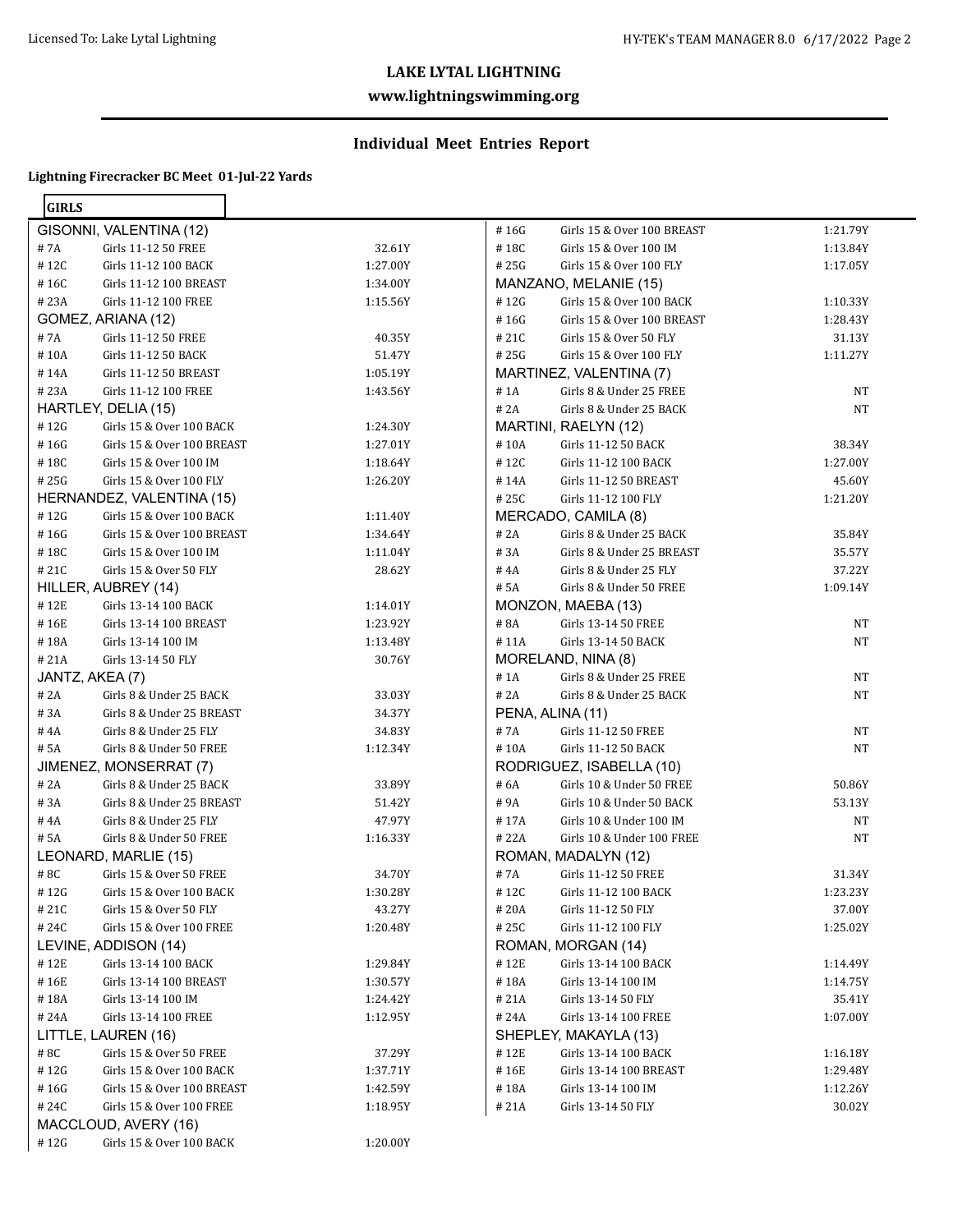#### **www.lightningswimming.org**

# **Individual Meet Entries Report**

| <b>GIRLS</b> |                            |          |       |                            |           |
|--------------|----------------------------|----------|-------|----------------------------|-----------|
|              | GISONNI, VALENTINA (12)    |          | #16G  | Girls 15 & Over 100 BREAST | 1:21.79Y  |
| #7A          | Girls 11-12 50 FREE        | 32.61Y   | #18C  | Girls 15 & Over 100 IM     | 1:13.84Y  |
| #12C         | Girls 11-12 100 BACK       | 1:27.00Y | #25G  | Girls 15 & Over 100 FLY    | 1:17.05Y  |
| #16C         | Girls 11-12 100 BREAST     | 1:34.00Y |       | MANZANO, MELANIE (15)      |           |
| #23A         | Girls 11-12 100 FREE       | 1:15.56Y | #12G  | Girls 15 & Over 100 BACK   | 1:10.33Y  |
|              | GOMEZ, ARIANA (12)         |          | #16G  | Girls 15 & Over 100 BREAST | 1:28.43Y  |
| #7A          | Girls 11-12 50 FREE        | 40.35Y   | #21C  | Girls 15 & Over 50 FLY     | 31.13Y    |
| #10A         | Girls 11-12 50 BACK        | 51.47Y   | #25G  | Girls 15 & Over 100 FLY    | 1:11.27Y  |
| #14A         | Girls 11-12 50 BREAST      | 1:05.19Y |       | MARTINEZ, VALENTINA (7)    |           |
| # 23A        | Girls 11-12 100 FREE       | 1:43.56Y | # 1A  | Girls 8 & Under 25 FREE    | NT        |
|              | HARTLEY, DELIA (15)        |          | # 2A  | Girls 8 & Under 25 BACK    | <b>NT</b> |
| #12G         | Girls 15 & Over 100 BACK   | 1:24.30Y |       | MARTINI, RAELYN (12)       |           |
| #16G         | Girls 15 & Over 100 BREAST | 1:27.01Y | #10A  | Girls 11-12 50 BACK        | 38.34Y    |
| #18C         | Girls 15 & Over 100 IM     | 1:18.64Y | #12C  | Girls 11-12 100 BACK       | 1:27.00Y  |
| #25G         | Girls 15 & Over 100 FLY    | 1:26.20Y | #14A  | Girls 11-12 50 BREAST      | 45.60Y    |
|              | HERNANDEZ, VALENTINA (15)  |          | #25C  | Girls 11-12 100 FLY        | 1:21.20Y  |
| #12G         | Girls 15 & Over 100 BACK   | 1:11.40Y |       | MERCADO, CAMILA (8)        |           |
| #16G         | Girls 15 & Over 100 BREAST | 1:34.64Y | # 2A  | Girls 8 & Under 25 BACK    | 35.84Y    |
| #18C         | Girls 15 & Over 100 IM     | 1:11.04Y | # 3A  | Girls 8 & Under 25 BREAST  | 35.57Y    |
| #21C         | Girls 15 & Over 50 FLY     | 28.62Y   | # 4A  | Girls 8 & Under 25 FLY     | 37.22Y    |
|              | HILLER, AUBREY (14)        |          | # 5A  | Girls 8 & Under 50 FREE    | 1:09.14Y  |
| #12E         | Girls 13-14 100 BACK       | 1:14.01Y |       | MONZON, MAEBA (13)         |           |
| #16E         | Girls 13-14 100 BREAST     | 1:23.92Y | # 8A  | Girls 13-14 50 FREE        | <b>NT</b> |
| #18A         | Girls 13-14 100 IM         | 1:13.48Y | #11A  | Girls 13-14 50 BACK        | <b>NT</b> |
| #21A         | Girls 13-14 50 FLY         | 30.76Y   |       | MORELAND, NINA (8)         |           |
|              | JANTZ, AKEA (7)            |          | #1A   | Girls 8 & Under 25 FREE    | <b>NT</b> |
| # 2A         | Girls 8 & Under 25 BACK    | 33.03Y   | # 2A  | Girls 8 & Under 25 BACK    | <b>NT</b> |
| #3A          | Girls 8 & Under 25 BREAST  | 34.37Y   |       | PENA, ALINA (11)           |           |
| #4A          | Girls 8 & Under 25 FLY     | 34.83Y   | #7A   | Girls 11-12 50 FREE        | <b>NT</b> |
| # 5A         | Girls 8 & Under 50 FREE    | 1:12.34Y | #10A  | Girls 11-12 50 BACK        | <b>NT</b> |
|              | JIMENEZ, MONSERRAT (7)     |          |       | RODRIGUEZ, ISABELLA (10)   |           |
| # 2A         | Girls 8 & Under 25 BACK    | 33.89Y   | # 6A  | Girls 10 & Under 50 FREE   | 50.86Y    |
| #3A          | Girls 8 & Under 25 BREAST  | 51.42Y   | #9A   | Girls 10 & Under 50 BACK   | 53.13Y    |
| #4A          | Girls 8 & Under 25 FLY     | 47.97Y   | #17A  | Girls 10 & Under 100 IM    | NT        |
| # 5A         | Girls 8 & Under 50 FREE    | 1:16.33Y | # 22A | Girls 10 & Under 100 FREE  | <b>NT</b> |
|              | LEONARD, MARLIE (15)       |          |       | ROMAN, MADALYN (12)        |           |
| #8C          | Girls 15 & Over 50 FREE    | 34.70Y   | #7A   | Girls 11-12 50 FREE        | 31.34Y    |
| #12G         | Girls 15 & Over 100 BACK   | 1:30.28Y | #12C  | Girls 11-12 100 BACK       | 1:23.23Y  |
| #21C         | Girls 15 & Over 50 FLY     | 43.27Y   | #20A  | Girls 11-12 50 FLY         | 37.00Y    |
| #24C         | Girls 15 & Over 100 FREE   | 1:20.48Y | #25C  | Girls 11-12 100 FLY        | 1:25.02Y  |
|              | LEVINE, ADDISON (14)       |          |       | ROMAN, MORGAN (14)         |           |
| #12E         | Girls 13-14 100 BACK       | 1:29.84Y | #12E  | Girls 13-14 100 BACK       | 1:14.49Y  |
| #16E         | Girls 13-14 100 BREAST     | 1:30.57Y | #18A  | Girls 13-14 100 IM         | 1:14.75Y  |
| #18A         | Girls 13-14 100 IM         | 1:24.42Y | # 21A | Girls 13-14 50 FLY         | 35.41Y    |
| #24A         | Girls 13-14 100 FREE       | 1:12.95Y | # 24A | Girls 13-14 100 FREE       | 1:07.00Y  |
|              | LITTLE, LAUREN (16)        |          |       | SHEPLEY, MAKAYLA (13)      |           |
| #8C          | Girls 15 & Over 50 FREE    | 37.29Y   | #12E  | Girls 13-14 100 BACK       | 1:16.18Y  |
| #12G         | Girls 15 & Over 100 BACK   | 1:37.71Y | #16E  | Girls 13-14 100 BREAST     | 1:29.48Y  |
| #16G         | Girls 15 & Over 100 BREAST | 1:42.59Y | #18A  | Girls 13-14 100 IM         | 1:12.26Y  |
| #24C         | Girls 15 & Over 100 FREE   | 1:18.95Y | # 21A | Girls 13-14 50 FLY         | 30.02Y    |
|              | MACCLOUD, AVERY (16)       |          |       |                            |           |
| #12G         | Girls 15 & Over 100 BACK   | 1:20.00Y |       |                            |           |
|              |                            |          |       |                            |           |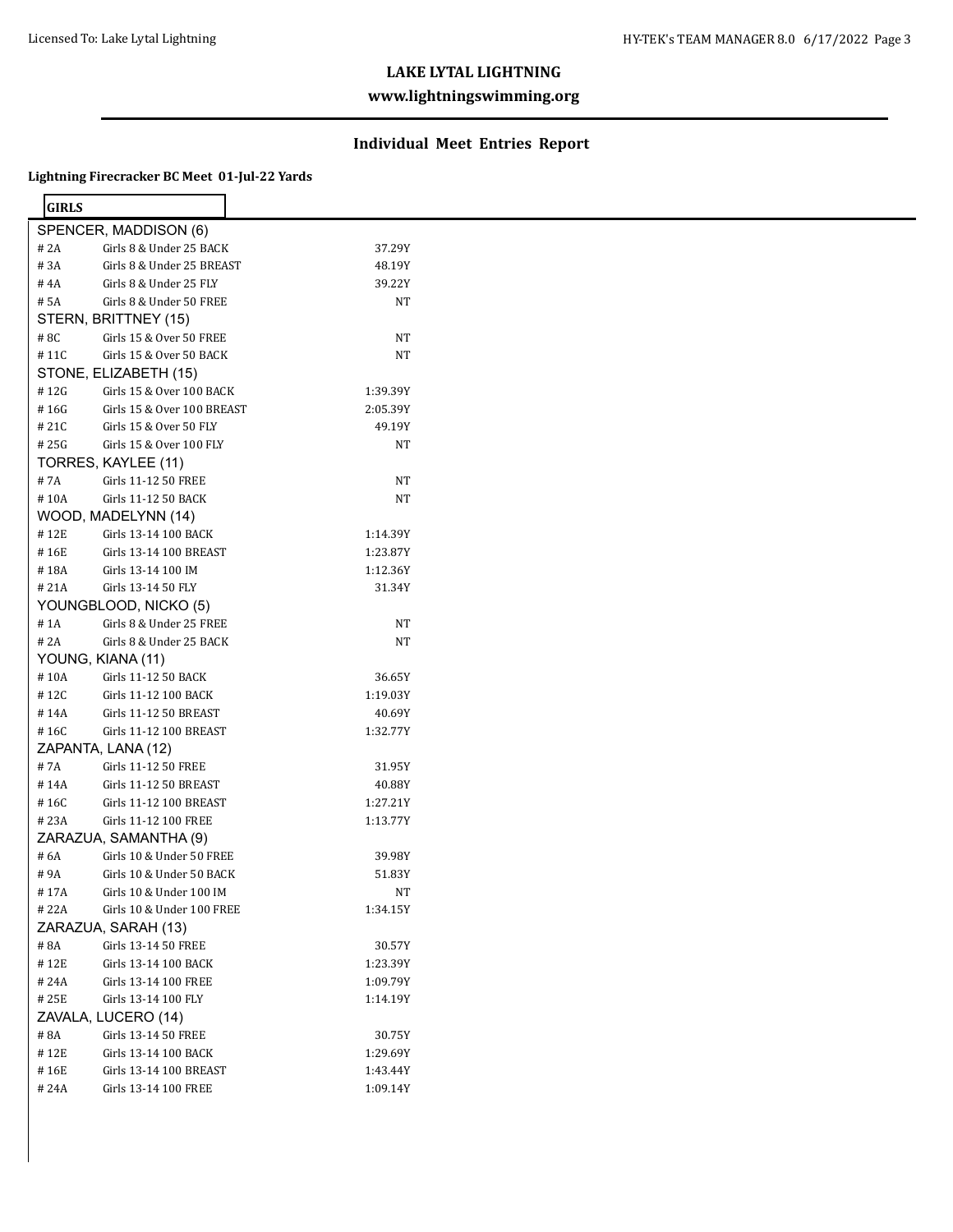## **www.lightningswimming.org**

#### **Individual Meet Entries Report**

| <b>GIRLS</b> |                            |           |  |
|--------------|----------------------------|-----------|--|
|              | SPENCER, MADDISON (6)      |           |  |
| # 2A         | Girls 8 & Under 25 BACK    | 37.29Y    |  |
| $\#$ 3A      | Girls 8 & Under 25 BREAST  | 48.19Y    |  |
| #4A          | Girls 8 & Under 25 FLY     | 39.22Y    |  |
| # 5A         | Girls 8 & Under 50 FREE    | <b>NT</b> |  |
|              | STERN, BRITTNEY (15)       |           |  |
| #8C          | Girls 15 & Over 50 FREE    | <b>NT</b> |  |
| #11C         | Girls 15 & Over 50 BACK    | NT        |  |
|              | STONE, ELIZABETH (15)      |           |  |
| #12G         | Girls 15 & Over 100 BACK   | 1:39.39Y  |  |
| #16G         | Girls 15 & Over 100 BREAST | 2:05.39Y  |  |
| #21C         | Girls 15 & Over 50 FLY     | 49.19Y    |  |
| #25G         | Girls 15 & Over 100 FLY    | NT        |  |
|              | TORRES, KAYLEE (11)        |           |  |
| #7A          |                            | <b>NT</b> |  |
| #10A         | Girls 11-12 50 FREE        |           |  |
|              | Girls 11-12 50 BACK        | <b>NT</b> |  |
|              | WOOD, MADELYNN (14)        |           |  |
| #12E         | Girls 13-14 100 BACK       | 1:14.39Y  |  |
| #16E         | Girls 13-14 100 BREAST     | 1:23.87Y  |  |
| #18A         | Girls 13-14 100 IM         | 1:12.36Y  |  |
| #21A         | Girls 13-14 50 FLY         | 31.34Y    |  |
|              | YOUNGBLOOD, NICKO (5)      |           |  |
| # 1A         | Girls 8 & Under 25 FREE    | NT        |  |
| # 2A         | Girls 8 & Under 25 BACK    | <b>NT</b> |  |
|              | YOUNG, KIANA (11)          |           |  |
| #10A         | Girls 11-12 50 BACK        | 36.65Y    |  |
| #12C         | Girls 11-12 100 BACK       | 1:19.03Y  |  |
| #14A         | Girls 11-12 50 BREAST      | 40.69Y    |  |
| #16C         | Girls 11-12 100 BREAST     | 1:32.77Y  |  |
|              | ZAPANTA, LANA (12)         |           |  |
| #7A          | Girls 11-12 50 FREE        | 31.95Y    |  |
| #14A         | Girls 11-12 50 BREAST      | 40.88Y    |  |
| #16C         | Girls 11-12 100 BREAST     | 1:27.21Y  |  |
| #23A         | Girls 11-12 100 FREE       | 1:13.77Y  |  |
|              | ZARAZUA, SAMANTHA (9)      |           |  |
| # 6A         | Girls 10 & Under 50 FREE   | 39.98Y    |  |
| #9A          | Girls 10 & Under 50 BACK   | 51.83Y    |  |
| #17A         | Girls 10 & Under 100 IM    | NT        |  |
| #22A         | Girls 10 & Under 100 FREE  | 1:34.15Y  |  |
|              | ZARAZUA, SARAH (13)        |           |  |
|              |                            |           |  |
| # 8A         | Girls 13-14 50 FREE        | 30.57Y    |  |
| #12E         | Girls 13-14 100 BACK       | 1:23.39Y  |  |
| #24A         | Girls 13-14 100 FREE       | 1:09.79Y  |  |
| # 25E        | Girls 13-14 100 FLY        | 1:14.19Y  |  |
|              | ZAVALA, LUCERO (14)        |           |  |
| #8A          | Girls 13-14 50 FREE        | 30.75Y    |  |
| #12E         | Girls 13-14 100 BACK       | 1:29.69Y  |  |
| #16E         | Girls 13-14 100 BREAST     | 1:43.44Y  |  |
| #24A         | Girls 13-14 100 FREE       | 1:09.14Y  |  |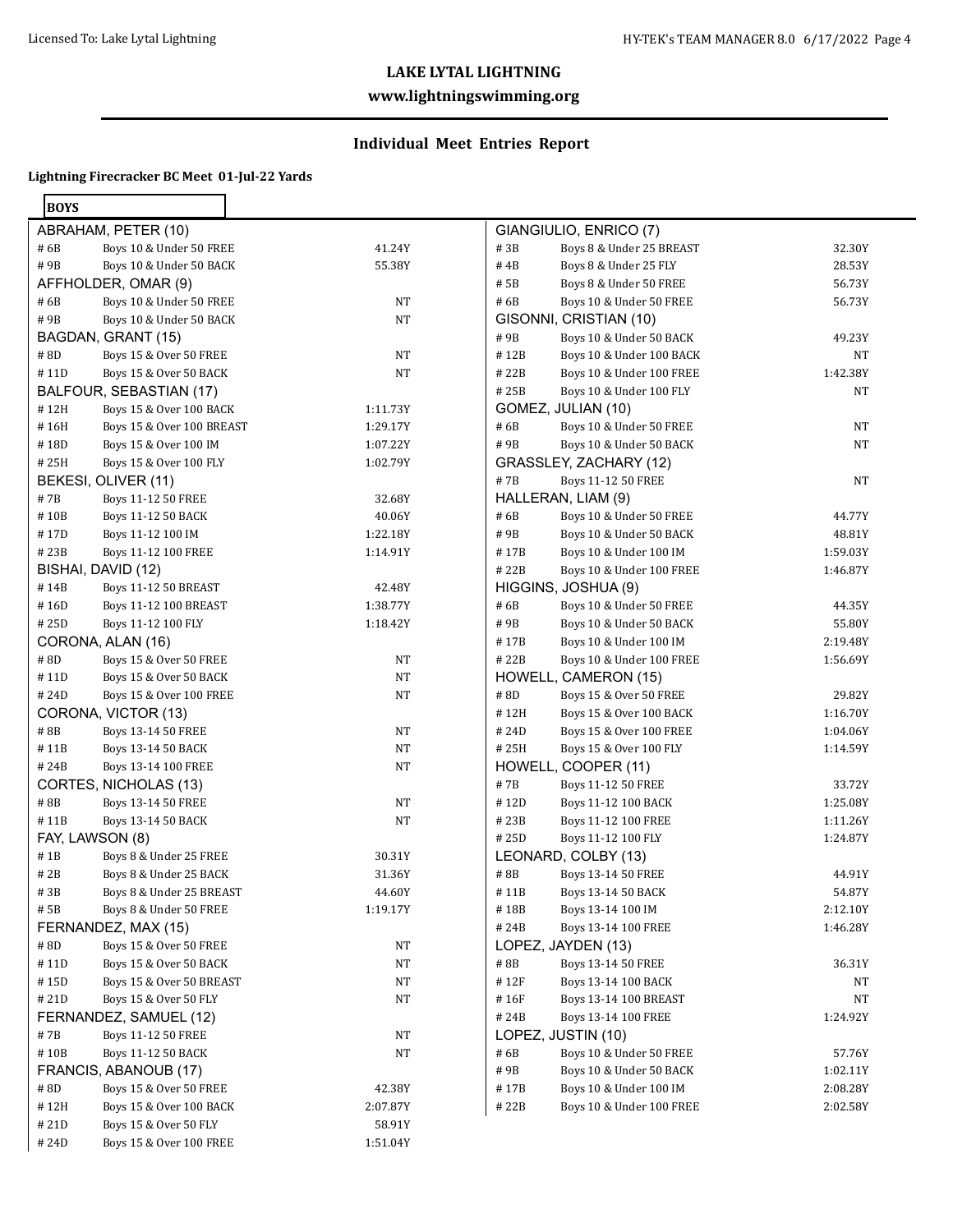## **www.lightningswimming.org**

# **Individual Meet Entries Report**

| ×<br>۰.<br>۰, |  |
|---------------|--|
|---------------|--|

| <b>BOYS</b> |                              |          |  |
|-------------|------------------------------|----------|--|
|             | ABRAHAM, PETER (10)          |          |  |
| # 6B        | Boys 10 & Under 50 FREE      | 41.24Y   |  |
| # 9B        | Boys 10 & Under 50 BACK      | 55.38Y   |  |
|             | AFFHOLDER, OMAR (9)          |          |  |
| #6B         | Boys 10 & Under 50 FREE      | NΤ       |  |
| #9B         | Boys 10 & Under 50 BACK      | NΤ       |  |
|             | BAGDAN, GRANT (15)           |          |  |
| #8D         | Boys 15 & Over 50 FREE       | NΤ       |  |
| # 11D       | Boys 15 & Over 50 BACK       | NΤ       |  |
|             | BALFOUR, SEBASTIAN (17)      |          |  |
| #12H        | Boys 15 & Over 100 BACK      | 1:11.73Y |  |
| #16H        | Boys 15 & Over 100 BREAST    | 1:29.17Y |  |
| # 18D       | Boys 15 & Over 100 IM        | 1:07.22Y |  |
| #25H        | Boys 15 & Over 100 FLY       | 1:02.79Y |  |
|             | BEKESI, OLIVER (11)          |          |  |
| # 7B        | <b>Boys 11-12 50 FREE</b>    | 32.68Y   |  |
| #10B        | Boys 11-12 50 BACK           | 40.06Y   |  |
| #17D        | Boys 11-12 100 IM            | 1:22.18Y |  |
| # 23B       | Boys 11-12 100 FREE          | 1:14.91Y |  |
|             | BISHAI, DAVID (12)           |          |  |
| #14B        | <b>Boys 11-12 50 BREAST</b>  | 42.48Y   |  |
| # 16D       | <b>Boys 11-12 100 BREAST</b> | 1:38.77Y |  |
| # 25D       | Boys 11-12 100 FLY           | 1:18.42Y |  |
|             | CORONA, ALAN (16)            |          |  |
| # 8D        | Boys 15 & Over 50 FREE       | NT       |  |
| # 11D       | Boys 15 & Over 50 BACK       | NT       |  |
| # 24D       | Boys 15 & Over 100 FREE      | NΤ       |  |
|             | CORONA, VICTOR (13)          |          |  |
| #8B         | Boys 13-14 50 FREE           | NΤ       |  |
| #11B        | Boys 13-14 50 BACK           | NΤ       |  |
| # 24B       | Boys 13-14 100 FREE          | NT       |  |
|             | CORTES, NICHOLAS (13)        |          |  |
| #8B         | Boys 13-14 50 FREE           | NT       |  |
| # 11B       | Boys 13-14 50 BACK           | NΤ       |  |
|             | FAY, LAWSON (8)              |          |  |
| #1B         | Boys 8 & Under 25 FREE       | 30.31Y   |  |
| # 2B        | Boys 8 & Under 25 BACK       | 31.36Y   |  |
| # 3B        | Boys 8 & Under 25 BREAST     | 44.60Y   |  |
| # 5B        | Boys 8 & Under 50 FREE       | 1:19.17Y |  |
|             | FERNANDEZ, MAX (15)          |          |  |
| # 8D        | Boys 15 & Over 50 FREE       | NT       |  |
| #11D        | Boys 15 & Over 50 BACK       | NΤ       |  |
| #15D        | Boys 15 & Over 50 BREAST     | NΤ       |  |
| #21D        | Boys 15 & Over 50 FLY        | NΤ       |  |
|             | FERNANDEZ, SAMUEL (12)       |          |  |
| # 7B        | Boys 11-12 50 FREE           | NT       |  |
| #10B        | Boys 11-12 50 BACK           | NT       |  |
|             | FRANCIS, ABANOUB (17)        |          |  |
| #8D         | Boys 15 & Over 50 FREE       | 42.38Y   |  |
| # 12H       | Boys 15 & Over 100 BACK      | 2:07.87Y |  |
| #21D        | Boys 15 & Over 50 FLY        | 58.91Y   |  |
| #24D        | Boys 15 & Over 100 FREE      | 1:51.04Y |  |
|             |                              |          |  |

|       | GIANGIULIO, ENRICO (7)       |          |
|-------|------------------------------|----------|
| # 3B  | Boys 8 & Under 25 BREAST     | 32.30Y   |
| # 4B  | Boys 8 & Under 25 FLY        | 28.53Y   |
| # 5B  | Boys 8 & Under 50 FREE       | 56.73Y   |
| # 6B  | Boys 10 & Under 50 FREE      | 56.73Y   |
|       | GISONNI, CRISTIAN (10)       |          |
| #9B   | Boys 10 & Under 50 BACK      | 49.23Y   |
| #12B  | Boys 10 & Under 100 BACK     | NΤ       |
| # 22B | Boys 10 & Under 100 FREE     | 1:42.38Y |
| # 25B | Boys 10 & Under 100 FLY      | NΤ       |
|       | GOMEZ, JULIAN (10)           |          |
| # 6B  | Boys 10 & Under 50 FREE      | NΤ       |
| # 9B  | Boys 10 & Under 50 BACK      | NT       |
|       | GRASSLEY, ZACHARY (12)       |          |
| # 7B  | <b>Boys 11-12 50 FREE</b>    | NT       |
|       | HALLERAN, LIAM (9)           |          |
| # 6B  | Boys 10 & Under 50 FREE      | 44.77Y   |
| # 9B  | Boys 10 & Under 50 BACK      | 48.81Y   |
| #17B  | Boys 10 & Under 100 IM       | 1:59.03Y |
| # 22B | Boys 10 & Under 100 FREE     | 1:46.87Y |
|       | HIGGINS, JOSHUA (9)          |          |
| # 6B  | Boys 10 & Under 50 FREE      | 44.35Y   |
| # 9B  | Boys 10 & Under 50 BACK      | 55.80Y   |
| #17B  | Boys 10 & Under 100 IM       | 2:19.48Y |
| #22B  | Boys 10 & Under 100 FREE     | 1:56.69Y |
|       | HOWELL, CAMERON (15)         |          |
| #8D   | Boys 15 & Over 50 FREE       | 29.82Y   |
| #12H  | Boys 15 & Over 100 BACK      | 1:16.70Y |
| # 24D | Boys 15 & Over 100 FREE      | 1:04.06Y |
| # 25H | Boys 15 & Over 100 FLY       | 1:14.59Y |
|       | HOWELL, COOPER (11)          |          |
| #7B   | Boys 11-12 50 FREE           | 33.72Y   |
| #12D  | Boys 11-12 100 BACK          | 1:25.08Y |
| # 23B | Boys 11-12 100 FREE          | 1:11.26Y |
| #25D  | Boys 11-12 100 FLY           | 1:24.87Y |
|       | LEONARD, COLBY (13)          |          |
| # 8B  | Boys 13-14 50 FREE           | 44.91Y   |
| # 11B | Boys 13-14 50 BACK           | 54.87Y   |
| # 18B | Boys 13-14 100 IM            | 2:12.10Y |
| # 24B | Boys 13-14 100 FREE          | 1:46.28Y |
|       | LOPEZ, JAYDEN (13)           |          |
| # 8B  | Boys 13-14 50 FREE           | 36.31Y   |
| # 12F | Boys 13-14 100 BACK          | NT       |
| # 16F | <b>Boys 13-14 100 BREAST</b> | NT       |
| #24B  | Boys 13-14 100 FREE          | 1:24.92Y |
|       | LOPEZ, JUSTIN (10)           |          |
| # 6B  | Boys 10 & Under 50 FREE      | 57.76Y   |
| # 9B  | Boys 10 & Under 50 BACK      | 1:02.11Y |
| #17B  | Boys 10 & Under 100 IM       | 2:08.28Y |
| # 22B | Boys 10 & Under 100 FREE     | 2:02.58Y |
|       |                              |          |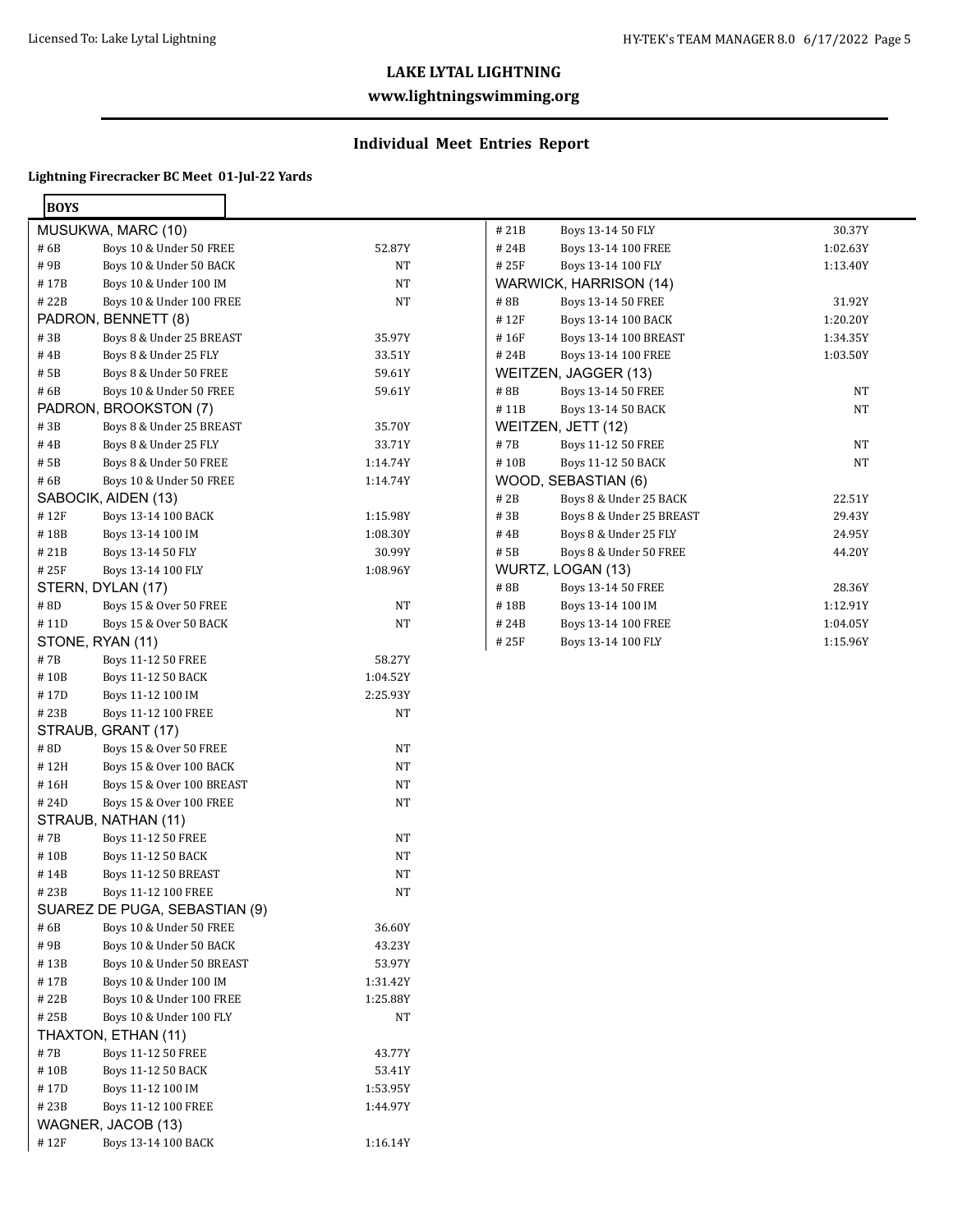## **www.lightningswimming.org**

# **Individual Meet Entries Report**

| ĸ |  |
|---|--|

| <b>BOYS</b> |                               |          |
|-------------|-------------------------------|----------|
|             | MUSUKWA, MARC (10)            |          |
| # 6B        | Boys 10 & Under 50 FREE       | 52.87Y   |
| # 9B        | Boys 10 & Under 50 BACK       | NT       |
| #17B        | Boys 10 & Under 100 IM        | NT       |
| # 22B       | Boys 10 & Under 100 FREE      | NT       |
|             | PADRON, BENNETT (8)           |          |
| #3B         | Boys 8 & Under 25 BREAST      | 35.97Y   |
| #4B         | Boys 8 & Under 25 FLY         | 33.51Y   |
| # 5B        | Boys 8 & Under 50 FREE        | 59.61Y   |
| # 6B        | Boys 10 & Under 50 FREE       | 59.61Y   |
|             | PADRON, BROOKSTON (7)         |          |
| #3B         | Boys 8 & Under 25 BREAST      | 35.70Y   |
| #4B         | Boys 8 & Under 25 FLY         | 33.71Y   |
| # 5B        | Boys 8 & Under 50 FREE        | 1:14.74Y |
| # 6B        | Boys 10 & Under 50 FREE       | 1:14.74Y |
|             | SABOCIK, AIDEN (13)           |          |
| #12F        | Boys 13-14 100 BACK           | 1:15.98Y |
| #18B        | Boys 13-14 100 IM             | 1:08.30Y |
| #21B        | Boys 13-14 50 FLY             | 30.99Y   |
| # 25F       | Boys 13-14 100 FLY            | 1:08.96Y |
|             | STERN, DYLAN (17)             |          |
| #8D         | Boys 15 & Over 50 FREE        | NT       |
| # 11D       | Boys 15 & Over 50 BACK        | NT       |
|             | STONE, RYAN (11)              |          |
| #7B         | Boys 11-12 50 FREE            | 58.27Y   |
| # 10B       | Boys 11-12 50 BACK            | 1:04.52Y |
| #17D        | Boys 11-12 100 IM             | 2:25.93Y |
| # 23B       | Boys 11-12 100 FREE           | NT       |
|             | STRAUB, GRANT (17)            |          |
| #8D         | Boys 15 & Over 50 FREE        | NT       |
| #12H        | Boys 15 & Over 100 BACK       | NT       |
| # 16H       | Boys 15 & Over 100 BREAST     | NT       |
| #24D        | Boys 15 & Over 100 FREE       | NT       |
|             | STRAUB, NATHAN (11)           |          |
| #7B         | Boys 11-12 50 FREE            | NT       |
| #10B        | Boys 11-12 50 BACK            | NT       |
| # 14B       | <b>Boys 11-12 50 BREAST</b>   | NT       |
| # 23B       | Boys 11-12 100 FREE           | NT       |
|             | SUAREZ DE PUGA, SEBASTIAN (9) |          |
| # 6B        | Boys 10 & Under 50 FREE       | 36.60Y   |
| # 9B        | Boys 10 & Under 50 BACK       | 43.23Y   |
| # 13B       | Boys 10 & Under 50 BREAST     | 53.97Y   |
| #17B        | Boys 10 & Under 100 IM        | 1:31.42Y |
| # 22B       | Boys 10 & Under 100 FREE      | 1:25.88Y |
| #25B        | Boys 10 & Under 100 FLY       | NT       |
|             | THAXTON, ETHAN (11)           |          |
| #7B         | Boys 11-12 50 FREE            | 43.77Y   |
| #10B        | Boys 11-12 50 BACK            | 53.41Y   |
| #17D        | Boys 11-12 100 IM             | 1:53.95Y |
| # 23B       | Boys 11-12 100 FREE           | 1:44.97Y |
|             | WAGNER, JACOB (13)            |          |
| #12F        | Boys 13-14 100 BACK           | 1:16.14Y |
|             |                               |          |

| #21B | Boys 13-14 50 FLY            | 30.37Y    |  |
|------|------------------------------|-----------|--|
| #24B | Boys 13-14 100 FREE          | 1:02.63Y  |  |
| #25F | Boys 13-14 100 FLY           | 1:13.40Y  |  |
|      | WARWICK, HARRISON (14)       |           |  |
| #8B  | Boys 13-14 50 FREE           | 31.92Y    |  |
| #12F | Boys 13-14 100 BACK          | 1:20.20Y  |  |
| #16F | <b>Boys 13-14 100 BREAST</b> | 1:34.35Y  |  |
| #24B | Boys 13-14 100 FREE          | 1:03.50Y  |  |
|      | WEITZEN, JAGGER (13)         |           |  |
| #8B  | Boys 13-14 50 FREE           | <b>NT</b> |  |
| #11B | Boys 13-14 50 BACK           | NT        |  |
|      | WEITZEN, JETT (12)           |           |  |
| #7B  | Boys 11-12 50 FREE           | NT        |  |
| #10B | <b>Boys 11-12 50 BACK</b>    | NT        |  |
|      | WOOD, SEBASTIAN (6)          |           |  |
| # 2B | Boys 8 & Under 25 BACK       | 22.51Y    |  |
| #3B  | Boys 8 & Under 25 BREAST     | 29.43Y    |  |
| #4B  | Boys 8 & Under 25 FLY        | 24.95Y    |  |
| # 5B | Boys 8 & Under 50 FREE       | 44.20Y    |  |
|      | WURTZ, LOGAN (13)            |           |  |
| #8B  | Boys 13-14 50 FREE           | 28.36Y    |  |
| #18B | Boys 13-14 100 IM            | 1:12.91Y  |  |
| #24B | Boys 13-14 100 FREE          | 1:04.05Y  |  |
| #25F | Boys 13-14 100 FLY           | 1:15.96Y  |  |
|      |                              |           |  |